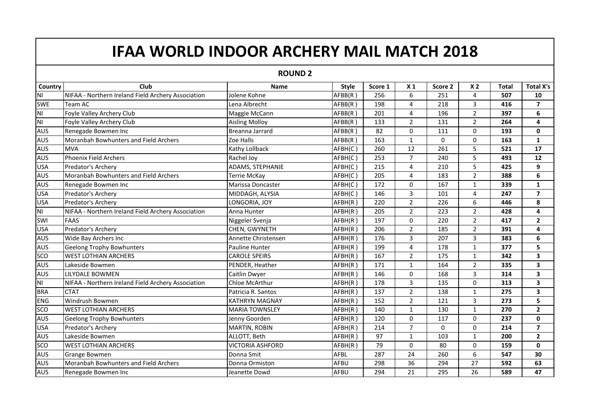## **IFAA WORLD INDOOR ARCHERY MAIL MATCH 2018**

**ROUND 2**

| <b>Country</b> | Club                                               | <b>Name</b>             | <b>Style</b> | Score 1 | X <sub>1</sub> | Score 2  | X <sub>2</sub> | <b>Total</b> | <b>Total X's</b>        |
|----------------|----------------------------------------------------|-------------------------|--------------|---------|----------------|----------|----------------|--------------|-------------------------|
| N <sub>l</sub> | NIFAA - Northern Ireland Field Archery Association | Jolene Kohne            | AFBB(R)      | 256     | 6              | 251      | 4              | 507          | 10                      |
| <b>SWE</b>     | Team AC                                            | Lena Albrecht           | AFBB(R)      | 198     | 4              | 218      | 3              | 416          | $\overline{7}$          |
| N <sub>l</sub> | Foyle Valley Archery Club                          | Maggie McCann           | AFBB(R)      | 201     | 4              | 196      | $\overline{2}$ | 397          | 6                       |
| N <sub>l</sub> | Foyle Valley Archery Club                          | <b>Aisling Molloy</b>   | AFBB(R)      | 133     | $\overline{2}$ | 131      | $\overline{2}$ | 264          | 4                       |
| <b>AUS</b>     | Renegade Bowmen Inc                                | Breanna Jarrard         | AFBB(R)      | 82      | 0              | 111      | 0              | 193          | 0                       |
| <b>AUS</b>     | Moranbah Bowhunters and Field Archers              | Zoe Halls               | AFBB(R)      | 163     | $\mathbf{1}$   | $\Omega$ | 0              | 163          | $\mathbf{1}$            |
| AUS            | <b>MVA</b>                                         | Kathy Lollback          | AFBH(C)      | 260     | 12             | 261      | 5              | 521          | 17                      |
| <b>AUS</b>     | Phoenix Field Archers                              | Rachel Joy              | AFBH(C)      | 253     | $\overline{7}$ | 240      | 5              | 493          | 12                      |
| <b>USA</b>     | Predator's Archery                                 | ADAMS, STEPHANIE        | AFBH(C)      | 215     | 4              | 210      | 5              | 425          | 9                       |
| <b>AUS</b>     | Moranbah Bowhunters and Field Archers              | Terrie McKay            | AFBH(C)      | 205     | 4              | 183      | $\overline{2}$ | 388          | 6                       |
| AUS            | Renegade Bowmen Inc                                | Marissa Doncaster       | AFBH(C)      | 172     | 0              | 167      | $\mathbf{1}$   | 339          | $\mathbf{1}$            |
| <b>USA</b>     | Predator's Archery                                 | MIDDAGH, ALYSIA         | AFBH(C)      | 146     | 3              | 101      | 4              | 247          | $\overline{7}$          |
| <b>USA</b>     | Predator's Archery                                 | LONGORIA, JOY           | AFBH(R)      | 220     | $\overline{2}$ | 226      | 6              | 446          | 8                       |
| N <sub>l</sub> | NIFAA - Northern Ireland Field Archery Association | Anna Hunter             | AFBH(R)      | 205     | $\overline{2}$ | 223      | $\overline{2}$ | 428          | 4                       |
| SWI            | <b>FAAS</b>                                        | Niggeler Svenja         | AFBH(R)      | 197     | 0              | 220      | $\overline{2}$ | 417          | $\overline{2}$          |
| <b>USA</b>     | Predator's Archery                                 | CHEN, GWYNETH           | AFBH(R)      | 206     | $\overline{2}$ | 185      | $\overline{2}$ | 391          | 4                       |
| <b>AUS</b>     | Wide Bay Archers Inc                               | Annette Christensen     | AFBH(R)      | 176     | 3              | 207      | 3              | 383          | 6                       |
| <b>AUS</b>     | <b>Geelong Trophy Bowhunters</b>                   | <b>Pauline Hunter</b>   | AFBH(R)      | 199     | 4              | 178      | $\mathbf{1}$   | 377          | 5                       |
| <b>SCO</b>     | <b>WEST LOTHIAN ARCHERS</b>                        | <b>CAROLE SPEIRS</b>    | AFBH(R)      | 167     | $\overline{2}$ | 175      | $\mathbf{1}$   | 342          | 3                       |
| <b>AUS</b>     | Lakeside Bowmen                                    | PENDER, Heather         | AFBH(R)      | 171     | $\mathbf{1}$   | 164      | $\overline{2}$ | 335          | 3                       |
| <b>AUS</b>     | LILYDALE BOWMEN                                    | Caitlin Dwyer           | AFBH(R)      | 146     | 0              | 168      | 3              | 314          | 3                       |
| N <sub>l</sub> | NIFAA - Northern Ireland Field Archery Association | Chloe McArthur          | AFBH(R)      | 178     | $\overline{3}$ | 135      | 0              | 313          | $\overline{\mathbf{3}}$ |
| <b>BRA</b>     | <b>CTAT</b>                                        | Patricia R. Santos      | AFBH(R)      | 137     | $\overline{2}$ | 138      | $\mathbf{1}$   | 275          | 3                       |
| <b>ENG</b>     | Windrush Bowmen                                    | <b>KATHRYN MAGNAY</b>   | AFBH(R)      | 152     | $\overline{2}$ | 121      | 3              | 273          | 5                       |
| sco            | <b>WEST LOTHIAN ARCHERS</b>                        | <b>MARIA TOWNSLEY</b>   | AFBH(R)      | 140     | $\mathbf{1}$   | 130      | $\mathbf{1}$   | 270          | $\mathbf{2}$            |
| <b>AUS</b>     | <b>Geelong Trophy Bowhunters</b>                   | Jenny Goorden           | AFBH(R)      | 120     | 0              | 117      | 0              | 237          | 0                       |
| <b>USA</b>     | Predator's Archery                                 | <b>MARTIN, ROBIN</b>    | AFBH(R)      | 214     | $\overline{7}$ | $\Omega$ | $\Omega$       | 214          | $\overline{7}$          |
| <b>AUS</b>     | Lakeside Bowmen                                    | ALLOTT, Beth            | AFBH(R)      | 97      | $\mathbf{1}$   | 103      | $\mathbf{1}$   | 200          | $\overline{2}$          |
| sco            | <b>WEST LOTHIAN ARCHERS</b>                        | <b>VICTORIA ASHFORD</b> | AFBH(R)      | 79      | 0              | 80       | $\mathbf{0}$   | 159          | $\mathbf 0$             |
| <b>AUS</b>     | <b>Grange Bowmen</b>                               | Donna Smit              | AFBL         | 287     | 24             | 260      | 6              | 547          | 30                      |
| AUS            | Moranbah Bowhunters and Field Archers              | Donna Ormiston          | AFBU         | 298     | 36             | 294      | 27             | 592          | 63                      |
| AUS            | Renegade Bowmen Inc                                | Jeanette Dowd           | AFBU         | 294     | 21             | 295      | 26             | 589          | 47                      |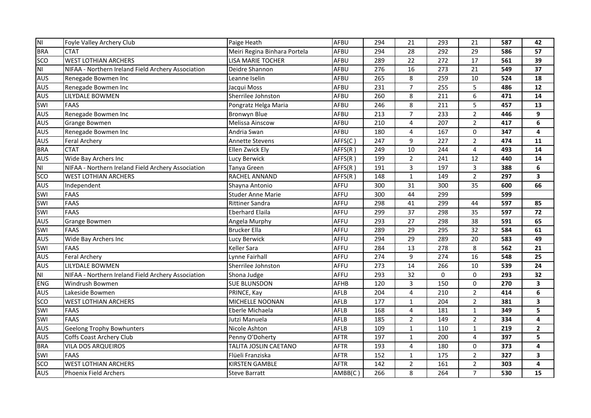| NI             | Foyle Valley Archery Club                          | Paige Heath                  | <b>AFBU</b> | 294 | 21             | 293              | 21                      | 587 | 42             |
|----------------|----------------------------------------------------|------------------------------|-------------|-----|----------------|------------------|-------------------------|-----|----------------|
| <b>BRA</b>     | <b>CTAT</b>                                        | Meiri Regina Binhara Portela | AFBU        | 294 | 28             | 292              | 29                      | 586 | 57             |
| sco            | <b>WEST LOTHIAN ARCHERS</b>                        | <b>LISA MARIE TOCHER</b>     | AFBU        | 289 | 22             | $\overline{272}$ | 17                      | 561 | 39             |
| N <sub>l</sub> | NIFAA - Northern Ireland Field Archery Association | Deidre Shannon               | AFBU        | 276 | 16             | 273              | 21                      | 549 | 37             |
| <b>AUS</b>     | Renegade Bowmen Inc                                | Leanne Iselin                | AFBU        | 265 | 8              | 259              | 10                      | 524 | 18             |
| <b>AUS</b>     | Renegade Bowmen Inc                                | Jacqui Moss                  | AFBU        | 231 | $\overline{7}$ | 255              | 5                       | 486 | 12             |
| <b>AUS</b>     | LILYDALE BOWMEN                                    | Sherrilee Johnston           | AFBU        | 260 | 8              | $\overline{211}$ | 6                       | 471 | 14             |
| SWI            | <b>FAAS</b>                                        | Pongratz Helga Maria         | AFBU        | 246 | 8              | $\overline{211}$ | 5                       | 457 | 13             |
| <b>AUS</b>     | Renegade Bowmen Inc                                | <b>Bronwyn Blue</b>          | AFBU        | 213 | $\overline{7}$ | 233              | $\sqrt{2}$              | 446 | 9              |
| <b>AUS</b>     | Grange Bowmen                                      | Melissa Ainscow              | AFBU        | 210 | 4              | 207              | $\overline{2}$          | 417 | 6              |
| <b>AUS</b>     | Renegade Bowmen Inc                                | Andria Swan                  | AFBU        | 180 | 4              | 167              | $\mathbf 0$             | 347 | 4              |
| <b>AUS</b>     | <b>Feral Archery</b>                               | <b>Annette Stevens</b>       | AFFS(C)     | 247 | 9              | 227              | $\overline{2}$          | 474 | 11             |
| <b>BRA</b>     | <b>CTAT</b>                                        | Ellen Zwick Ely              | AFFS(R)     | 249 | 10             | 244              | $\overline{\mathbf{4}}$ | 493 | 14             |
| <b>AUS</b>     | Wide Bay Archers Inc                               | Lucy Berwick                 | AFFS(R)     | 199 | $\overline{2}$ | 241              | 12                      | 440 | 14             |
| N <sub>l</sub> | NIFAA - Northern Ireland Field Archery Association | Tanya Green                  | AFFS(R)     | 191 | 3              | 197              | 3                       | 388 | 6              |
| sco            | <b>WEST LOTHIAN ARCHERS</b>                        | RACHEL ANNAND                | AFFS(R)     | 148 | $\mathbf{1}$   | 149              | $\overline{2}$          | 297 | 3              |
| <b>AUS</b>     | Independent                                        | Shayna Antonio               | AFFU        | 300 | 31             | 300              | 35                      | 600 | 66             |
| SWI            | <b>FAAS</b>                                        | <b>Studer Anne Marie</b>     | AFFU        | 300 | 44             | 299              |                         | 599 |                |
| SWI            | <b>FAAS</b>                                        | <b>Rittiner Sandra</b>       | AFFU        | 298 | 41             | 299              | 44                      | 597 | 85             |
| SWI            | <b>FAAS</b>                                        | <b>Eberhard Elaila</b>       | AFFU        | 299 | 37             | 298              | 35                      | 597 | 72             |
| AUS            | Grange Bowmen                                      | Angela Murphy                | AFFU        | 293 | 27             | 298              | 38                      | 591 | 65             |
| SWI            | <b>FAAS</b>                                        | <b>Brucker Ella</b>          | AFFU        | 289 | 29             | 295              | 32                      | 584 | 61             |
| <b>AUS</b>     | Wide Bay Archers Inc                               | Lucy Berwick                 | AFFU        | 294 | 29             | 289              | 20                      | 583 | 49             |
| SWI            | <b>FAAS</b>                                        | <b>Keller Sara</b>           | AFFU        | 284 | 13             | 278              | 8                       | 562 | 21             |
| <b>AUS</b>     | <b>Feral Archery</b>                               | Lynne Fairhall               | AFFU        | 274 | 9              | 274              | 16                      | 548 | 25             |
| AUS            | LILYDALE BOWMEN                                    | Sherrilee Johnston           | AFFU        | 273 | 14             | 266              | 10                      | 539 | 24             |
| N <sub>l</sub> | NIFAA - Northern Ireland Field Archery Association | Shona Judge                  | AFFU        | 293 | 32             | 0                | $\mathbf 0$             | 293 | 32             |
| <b>ENG</b>     | Windrush Bowmen                                    | <b>SUE BLUNSDON</b>          | <b>AFHB</b> | 120 | 3              | 150              | $\mathbf 0$             | 270 | 3              |
| <b>AUS</b>     | Lakeside Bowmen                                    | PRINCE, Kay                  | AFLB        | 204 | 4              | 210              | $\overline{2}$          | 414 | 6              |
| <b>SCO</b>     | <b>WEST LOTHIAN ARCHERS</b>                        | MICHELLE NOONAN              | <b>AFLB</b> | 177 | $\mathbf{1}$   | 204              | $\overline{2}$          | 381 | 3              |
| SWI            | <b>FAAS</b>                                        | Eberle Michaela              | AFLB        | 168 | 4              | 181              | $\mathbf{1}$            | 349 | 5              |
| SWI            | <b>FAAS</b>                                        | Jutzi Manuela                | <b>AFLB</b> | 185 | $\overline{2}$ | 149              | 2                       | 334 | 4              |
| <b>AUS</b>     | <b>Geelong Trophy Bowhunters</b>                   | Nicole Ashton                | AFLB        | 109 | $\mathbf{1}$   | 110              | $\mathbf{1}$            | 219 | $\overline{2}$ |
| <b>AUS</b>     | Coffs Coast Archery Club                           | Penny O'Doherty              | <b>AFTR</b> | 197 | $\mathbf{1}$   | 200              | 4                       | 397 | 5              |
| <b>BRA</b>     | VILA DOS ARQUEIROS                                 | TALITA JOSLIN CAETANO        | <b>AFTR</b> | 193 | 4              | 180              | $\mathbf 0$             | 373 | 4              |
| SWI            | <b>FAAS</b>                                        | Flüeli Franziska             | <b>AFTR</b> | 152 | $\mathbf{1}$   | 175              | $\overline{2}$          | 327 | 3              |
| SCO            | <b>WEST LOTHIAN ARCHERS</b>                        | KIRSTEN GAMBLE               | <b>AFTR</b> | 142 | $\overline{2}$ | 161              | $\overline{2}$          | 303 | 4              |
| <b>AUS</b>     | Phoenix Field Archers                              | <b>Steve Barratt</b>         | AMBB(C)     | 266 | 8              | 264              | $\overline{7}$          | 530 | 15             |
|                |                                                    |                              |             |     |                |                  |                         |     |                |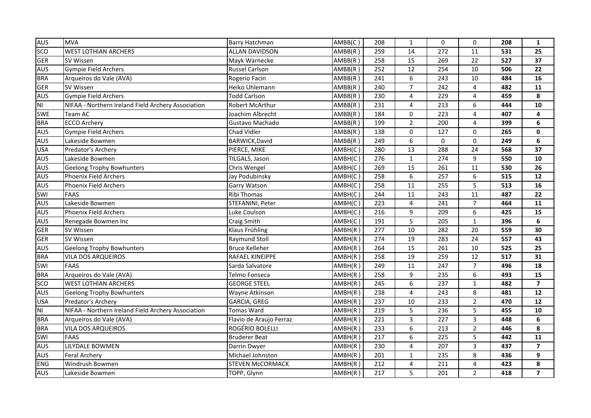| <b>AUS</b>     | <b>MVA</b>                                         | <b>Barry Hatchman</b>   | AMBB(C) | 208 | $\mathbf{1}$            | 0                | $\mathbf 0$     | 208 | $\mathbf{1}$            |
|----------------|----------------------------------------------------|-------------------------|---------|-----|-------------------------|------------------|-----------------|-----|-------------------------|
| <b>SCO</b>     | <b>WEST LOTHIAN ARCHERS</b>                        | <b>ALLAN DAVIDSON</b>   | AMBB(R) | 259 | 14                      | 272              | 11              | 531 | 25                      |
| <b>GER</b>     | SV Wissen                                          | Mayk Warnecke           | AMBB(R) | 258 | 15                      | 269              | $\overline{22}$ | 527 | 37                      |
| AUS            | Gympie Field Archers                               | <b>Russel Carlson</b>   | AMBB(R) | 252 | 12                      | 254              | 10              | 506 | 22                      |
| <b>BRA</b>     | Arqueiros do Vale (AVA)                            | Rogerio Facin           | AMBB(R) | 241 | 6                       | 243              | 10              | 484 | 16                      |
| <b>GER</b>     | SV Wissen                                          | Heiko Uhlemann          | AMBB(R) | 240 | $\overline{7}$          | 242              | 4               | 482 | 11                      |
| <b>AUS</b>     | <b>Gympie Field Archers</b>                        | <b>Todd Carlson</b>     | AMBB(R) | 230 | 4                       | 229              | 4               | 459 | 8                       |
| N <sub>l</sub> | NIFAA - Northern Ireland Field Archery Association | Robert McArthur         | AMBB(R) | 231 | $\overline{\mathbf{4}}$ | $\overline{213}$ | 6               | 444 | 10                      |
| SWE            | Team AC                                            | Joachim Albrecht        | AMBB(R) | 184 | $\mathsf{O}\xspace$     | 223              | 4               | 407 | 4                       |
| <b>BRA</b>     | <b>ECCO Archery</b>                                | Gustavo Machado         | AMBB(R) | 199 | $\overline{2}$          | 200              | 4               | 399 | 6                       |
| <b>AUS</b>     | <b>Gympie Field Archers</b>                        | <b>Chad Vidler</b>      | AMBB(R) | 138 | 0                       | 127              | $\mathsf 0$     | 265 | $\mathbf 0$             |
| <b>AUS</b>     | Lakeside Bowmen                                    | BARWICK, David          | AMBB(R) | 249 | 6                       | 0                | $\mathbf 0$     | 249 | 6                       |
| <b>USA</b>     | Predator's Archery                                 | PIERCE, MIKE            | AMBH(C) | 280 | 13                      | 288              | 24              | 568 | 37                      |
| AUS            | Lakeside Bowmen                                    | TILGALS, Jason          | AMBH(C) | 276 | $\mathbf{1}$            | 274              | 9               | 550 | 10                      |
| <b>AUS</b>     | <b>Geelong Trophy Bowhunters</b>                   | Chris Wengel            | AMBH(C) | 269 | $\overline{15}$         | 261              | 11              | 530 | $\overline{26}$         |
| <b>AUS</b>     | Phoenix Field Archers                              | Jay Podubinsky          | AMBH(C) | 258 | 6                       | 257              | 6               | 515 | 12                      |
| <b>AUS</b>     | <b>Phoenix Field Archers</b>                       | <b>Garry Watson</b>     | AMBH(C) | 258 | 11                      | 255              | 5               | 513 | 16                      |
| SWI            | <b>FAAS</b>                                        | Ribi Thomas             | AMBH(C) | 244 | 11                      | 243              | 11              | 487 | 22                      |
| <b>AUS</b>     | Lakeside Bowmen                                    | STEFANINI, Peter        | AMBH(C) | 223 | 4                       | 241              | $\overline{7}$  | 464 | 11                      |
| <b>AUS</b>     | Phoenix Field Archers                              | Luke Coulson            | AMBH(C) | 216 | 9                       | 209              | 6               | 425 | 15                      |
| <b>AUS</b>     | Renegade Bowmen Inc                                | Craig Smith             | AMBH(C) | 191 | 5                       | 205              | $\mathbf 1$     | 396 | 6                       |
| <b>GER</b>     | SV Wissen                                          | Klaus Frühling          | AMBH(R) | 277 | 10                      | 282              | 20              | 559 | 30                      |
| <b>GER</b>     | SV Wissen                                          | Raymund Stoll           | AMBH(R) | 274 | 19                      | 283              | 24              | 557 | 43                      |
| <b>AUS</b>     | <b>Geelong Trophy Bowhunters</b>                   | <b>Bruce Kelleher</b>   | AMBH(R) | 264 | 15                      | 261              | 10              | 525 | 25                      |
| <b>BRA</b>     | VILA DOS ARQUEIROS                                 | RAFAEL KINEIPPE         | AMBH(R) | 258 | 19                      | 259              | 12              | 517 | 31                      |
| SWI            | <b>FAAS</b>                                        | Sarda Salvatore         | AMBH(R) | 249 | 11                      | 247              | $\overline{7}$  | 496 | 18                      |
| <b>BRA</b>     | Arqueiros do Vale (AVA)                            | Telmo Fonseca           | AMBH(R) | 258 | 9                       | 235              | 6               | 493 | 15                      |
| sco            | <b>WEST LOTHIAN ARCHERS</b>                        | <b>GEORGE STEEL</b>     | AMBH(R) | 245 | $\boldsymbol{6}$        | 237              | $\mathbf 1$     | 482 | $\overline{\mathbf{z}}$ |
| <b>AUS</b>     | <b>Geelong Trophy Bowhunters</b>                   | Wayne Atkinson          | AMBH(R) | 238 | 4                       | 243              | 8               | 481 | 12                      |
| <b>USA</b>     | Predator's Archery                                 | <b>GARCIA, GREG</b>     | AMBH(R) | 237 | 10                      | 233              | $\overline{2}$  | 470 | 12                      |
| N <sub>l</sub> | NIFAA - Northern Ireland Field Archery Association | Tomas Ward              | AMBH(R) | 219 | 5                       | 236              | 5               | 455 | 10                      |
| <b>BRA</b>     | Arqueiros do Vale (AVA)                            | Flavio de Araujo Ferraz | AMBH(R) | 221 | 3                       | 227              | 3               | 448 | 6                       |
| <b>BRA</b>     | VILA DOS ARQUEIROS                                 | ROGÉRIO BOLELLI         | AMBH(R) | 233 | 6                       | 213              | $\overline{2}$  | 446 | 8                       |
| SWI            | <b>FAAS</b>                                        | <b>Bruderer Beat</b>    | AMBH(R) | 217 | 6                       | 225              | 5               | 442 | 11                      |
| <b>AUS</b>     | LILYDALE BOWMEN                                    | Darrin Dwyer            | AMBH(R) | 230 | $\overline{\mathbf{4}}$ | 207              | 3               | 437 | $\overline{\mathbf{z}}$ |
| <b>AUS</b>     | <b>Feral Archery</b>                               | Michael Johnston        | AMBH(R) | 201 | $\mathbf{1}$            | 235              | 8               | 436 | 9                       |
| <b>ENG</b>     | Windrush Bowmen                                    | <b>STEVEN McCORMACK</b> | AMBH(R) | 212 | $\overline{\mathbf{4}}$ | 211              | 4               | 423 | 8                       |
| <b>AUS</b>     | Lakeside Bowmen                                    | TOPP, Glynn             | AMBH(R) | 217 | 5                       | 201              | $\overline{2}$  | 418 | $\overline{\mathbf{z}}$ |
|                |                                                    |                         |         |     |                         |                  |                 |     |                         |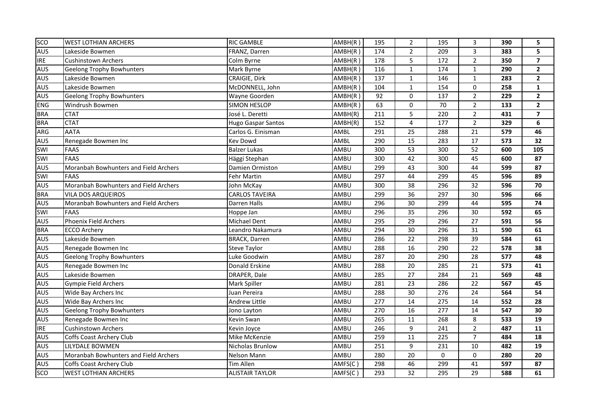| <b>SCO</b> | <b>WEST LOTHIAN ARCHERS</b>           | <b>RIC GAMBLE</b>         | AMBH(R)              | 195 | $\overline{2}$      | 195             | 3               | 390 | 5                       |
|------------|---------------------------------------|---------------------------|----------------------|-----|---------------------|-----------------|-----------------|-----|-------------------------|
| <b>AUS</b> | Lakeside Bowmen                       | FRANZ, Darren             | $\overline{AMBH}(R)$ | 174 | $\overline{2}$      | 209             | 3               | 383 | 5                       |
| <b>IRE</b> | <b>Cushinstown Archers</b>            | Colm Byrne                | AMBH(R)              | 178 | 5                   | 172             | $\overline{2}$  | 350 | $\overline{\mathbf{z}}$ |
| <b>AUS</b> | <b>Geelong Trophy Bowhunters</b>      | Mark Byrne                | AMBH(R)              | 116 | $\mathbf{1}$        | 174             | $\mathbf{1}$    | 290 | $\overline{2}$          |
| <b>AUS</b> | Lakeside Bowmen                       | <b>CRAIGIE, Dirk</b>      | $\overline{AMBH}(R)$ | 137 | $\mathbf{1}$        | 146             | $\mathbf{1}$    | 283 | $\overline{2}$          |
| <b>AUS</b> | Lakeside Bowmen                       | McDONNELL, John           | AMBH(R)              | 104 | $\mathbf{1}$        | 154             | $\mathbf 0$     | 258 | $\mathbf 1$             |
| <b>AUS</b> | <b>Geelong Trophy Bowhunters</b>      | Wayne Goorden             | AMBH(R)              | 92  | $\mathsf{O}\xspace$ | 137             | $\overline{2}$  | 229 | $\mathbf{2}$            |
| <b>ENG</b> | Windrush Bowmen                       | <b>SIMON HESLOP</b>       | AMBH(R)              | 63  | $\pmb{0}$           | $\overline{70}$ | $\overline{2}$  | 133 | $\mathbf{2}$            |
| <b>BRA</b> | <b>CTAT</b>                           | José L. Deretti           | AMBH(R)              | 211 | 5                   | 220             | $\overline{2}$  | 431 | $\overline{\mathbf{z}}$ |
| <b>BRA</b> | <b>CTAT</b>                           | <b>Hugo Gaspar Santos</b> | AMBH(R)              | 152 | $\overline{4}$      | 177             | $\overline{2}$  | 329 | 6                       |
| ARG        | <b>AATA</b>                           | Carlos G. Einisman        | AMBL                 | 291 | 25                  | 288             | 21              | 579 | 46                      |
| <b>AUS</b> | Renegade Bowmen Inc                   | Kev Dowd                  | AMBL                 | 290 | 15                  | 283             | 17              | 573 | 32                      |
| SWI        | <b>FAAS</b>                           | <b>Balzer Lukas</b>       | AMBU                 | 300 | 53                  | 300             | 52              | 600 | 105                     |
| SWI        | <b>FAAS</b>                           | Häggi Stephan             | AMBU                 | 300 | 42                  | 300             | 45              | 600 | 87                      |
| <b>AUS</b> | Moranbah Bowhunters and Field Archers | Damien Ormiston           | AMBU                 | 299 | 43                  | 300             | 44              | 599 | 87                      |
| <b>SWI</b> | <b>FAAS</b>                           | Fehr Martin               | AMBU                 | 297 | 44                  | 299             | 45              | 596 | 89                      |
| <b>AUS</b> | Moranbah Bowhunters and Field Archers | John McKay                | AMBU                 | 300 | 38                  | 296             | 32              | 596 | 70                      |
| <b>BRA</b> | <b>VILA DOS ARQUEIROS</b>             | <b>CARLOS TAVEIRA</b>     | AMBU                 | 299 | 36                  | 297             | 30              | 596 | 66                      |
| <b>AUS</b> | Moranbah Bowhunters and Field Archers | Darren Halls              | AMBU                 | 296 | 30                  | 299             | 44              | 595 | 74                      |
| SWI        | <b>FAAS</b>                           | Hoppe Jan                 | AMBU                 | 296 | 35                  | 296             | 30              | 592 | 65                      |
| <b>AUS</b> | <b>Phoenix Field Archers</b>          | <b>Michael Dent</b>       | AMBU                 | 295 | 29                  | 296             | 27              | 591 | 56                      |
| <b>BRA</b> | <b>ECCO Archery</b>                   | Leandro Nakamura          | AMBU                 | 294 | 30                  | 296             | 31              | 590 | 61                      |
| <b>AUS</b> | Lakeside Bowmen                       | <b>BRACK, Darren</b>      | AMBU                 | 286 | 22                  | 298             | $\overline{39}$ | 584 | 61                      |
| <b>AUS</b> | Renegade Bowmen Inc                   | <b>Steve Taylor</b>       | AMBU                 | 288 | 16                  | 290             | 22              | 578 | 38                      |
| <b>AUS</b> | <b>Geelong Trophy Bowhunters</b>      | Luke Goodwin              | AMBU                 | 287 | 20                  | 290             | 28              | 577 | 48                      |
| <b>AUS</b> | Renegade Bowmen Inc                   | Donald Erskine            | AMBU                 | 288 | 20                  | 285             | 21              | 573 | 41                      |
| <b>AUS</b> | Lakeside Bowmen                       | DRAPER, Dale              | AMBU                 | 285 | 27                  | 284             | 21              | 569 | 48                      |
| <b>AUS</b> | <b>Gympie Field Archers</b>           | Mark Spiller              | AMBU                 | 281 | 23                  | 286             | 22              | 567 | 45                      |
| <b>AUS</b> | Wide Bay Archers Inc                  | Juan Pereira              | AMBU                 | 288 | 30                  | 276             | 24              | 564 | 54                      |
| <b>AUS</b> | Wide Bay Archers Inc                  | <b>Andrew Little</b>      | AMBU                 | 277 | 14                  | 275             | 14              | 552 | 28                      |
| <b>AUS</b> | <b>Geelong Trophy Bowhunters</b>      | Jono Layton               | AMBU                 | 270 | 16                  | 277             | 14              | 547 | 30                      |
| <b>AUS</b> | Renegade Bowmen Inc                   | Kevin Swan                | AMBU                 | 265 | 11                  | 268             | 8               | 533 | 19                      |
| <b>IRE</b> | <b>Cushinstown Archers</b>            | Kevin Joyce               | AMBU                 | 246 | 9                   | 241             | $\overline{2}$  | 487 | ${\bf 11}$              |
| <b>AUS</b> | Coffs Coast Archery Club              | Mike McKenzie             | AMBU                 | 259 | 11                  | 225             | $\overline{7}$  | 484 | 18                      |
| <b>AUS</b> | LILYDALE BOWMEN                       | Nicholas Brunlow          | AMBU                 | 251 | 9                   | 231             | 10              | 482 | 19                      |
| <b>AUS</b> | Moranbah Bowhunters and Field Archers | <b>Nelson Mann</b>        | AMBU                 | 280 | 20                  | 0               | $\mathbf 0$     | 280 | 20                      |
| AUS        | Coffs Coast Archery Club              | <b>Tim Allen</b>          | AMFS(C)              | 298 | 46                  | 299             | 41              | 597 | 87                      |
| <b>SCO</b> | <b>WEST LOTHIAN ARCHERS</b>           | <b>ALISTAIR TAYLOR</b>    | AMFS(C)              | 293 | 32                  | 295             | 29              | 588 | 61                      |
|            |                                       |                           |                      |     |                     |                 |                 |     |                         |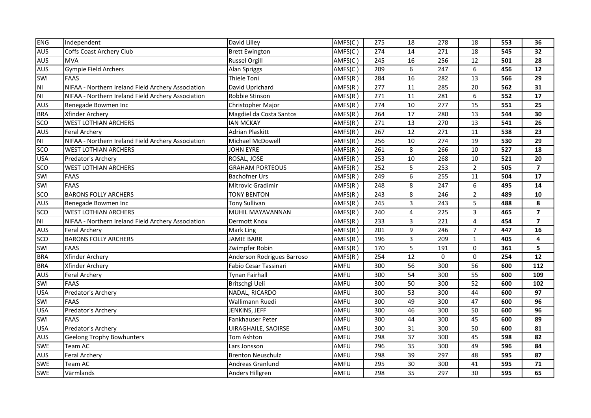| <b>ENG</b>     | Independent                                        | David Lilley               | AMFS(C) | 275 | 18              | 278              | 18              | 553 | 36                      |
|----------------|----------------------------------------------------|----------------------------|---------|-----|-----------------|------------------|-----------------|-----|-------------------------|
| <b>AUS</b>     | Coffs Coast Archery Club                           | <b>Brett Ewington</b>      | AMFS(C) | 274 | 14              | 271              | 18              | 545 | 32                      |
| <b>AUS</b>     | <b>MVA</b>                                         | <b>Russel Orgill</b>       | AMFS(C) | 245 | 16              | 256              | 12              | 501 | 28                      |
| <b>AUS</b>     | <b>Gympie Field Archers</b>                        | Alan Spriggs               | AMFS(C) | 209 | 6               | 247              | 6               | 456 | $12$                    |
| SWI            | <b>FAAS</b>                                        | Thiele Toni                | AMFS(R) | 284 | 16              | 282              | 13              | 566 | 29                      |
| N <sub>1</sub> | NIFAA - Northern Ireland Field Archery Association | David Uprichard            | AMFS(R) | 277 | 11              | 285              | 20              | 562 | 31                      |
| N <sub>1</sub> | NIFAA - Northern Ireland Field Archery Association | Robbie Stinson             | AMFS(R) | 271 | $\overline{11}$ | 281              | 6               | 552 | $\overline{17}$         |
| <b>AUS</b>     | Renegade Bowmen Inc                                | Christopher Major          | AMFS(R) | 274 | 10              | $\overline{277}$ | $\overline{15}$ | 551 | 25                      |
| <b>BRA</b>     | Xfinder Archery                                    | Magdiel da Costa Santos    | AMFS(R) | 264 | 17              | 280              | 13              | 544 | 30                      |
| <b>SCO</b>     | <b>WEST LOTHIAN ARCHERS</b>                        | <b>IAN MCKAY</b>           | AMFS(R) | 271 | 13              | 270              | 13              | 541 | 26                      |
| <b>AUS</b>     | <b>Feral Archery</b>                               | <b>Adrian Plaskitt</b>     | AMFS(R) | 267 | 12              | 271              | 11              | 538 | 23                      |
| N <sub>l</sub> | NIFAA - Northern Ireland Field Archery Association | Michael McDowell           | AMFS(R) | 256 | 10              | 274              | 19              | 530 | 29                      |
| <b>SCO</b>     | <b>WEST LOTHIAN ARCHERS</b>                        | <b>JOHN EYRE</b>           | AMFS(R) | 261 | 8               | 266              | 10              | 527 | 18                      |
| <b>USA</b>     | Predator's Archery                                 | ROSAL, JOSE                | AMFS(R) | 253 | 10              | 268              | 10              | 521 | 20                      |
| <b>SCO</b>     | <b>WEST LOTHIAN ARCHERS</b>                        | <b>GRAHAM PORTEOUS</b>     | AMFS(R) | 252 | 5               | 253              | $\overline{2}$  | 505 | $\overline{\mathbf{z}}$ |
| SWI            | <b>FAAS</b>                                        | <b>Bachofner Urs</b>       | AMFS(R) | 249 | 6               | 255              | 11              | 504 | 17                      |
| SWI            | <b>FAAS</b>                                        | Mitrovic Gradimir          | AMFS(R) | 248 | 8               | 247              | 6               | 495 | 14                      |
| <b>SCO</b>     | <b>BARONS FOLLY ARCHERS</b>                        | <b>TONY BENTON</b>         | AMFS(R) | 243 | 8               | 246              | $\overline{2}$  | 489 | 10                      |
| <b>AUS</b>     | Renegade Bowmen Inc                                | <b>Tony Sullivan</b>       | AMFS(R) | 245 | 3               | 243              | 5               | 488 | 8                       |
| sco            | <b>WEST LOTHIAN ARCHERS</b>                        | MUHIL MAYAVANNAN           | AMFS(R) | 240 | 4               | 225              | 3               | 465 | $\overline{\mathbf{z}}$ |
| N <sub>l</sub> | NIFAA - Northern Ireland Field Archery Association | Dermott Knox               | AMFS(R) | 233 | 3               | 221              | 4               | 454 | $\overline{\mathbf{z}}$ |
| <b>AUS</b>     | <b>Feral Archery</b>                               | Mark Ling                  | AMFS(R) | 201 | 9               | 246              | $\overline{7}$  | 447 | 16                      |
| <b>SCO</b>     | <b>BARONS FOLLY ARCHERS</b>                        | <b>JAMIE BARR</b>          | AMFS(R) | 196 | 3               | 209              | $\mathbf{1}$    | 405 | 4                       |
| SWI            | <b>FAAS</b>                                        | Zwimpfer Robin             | AMFS(R) | 170 | 5               | 191              | $\Omega$        | 361 | 5                       |
| <b>BRA</b>     | Xfinder Archery                                    | Anderson Rodrigues Barroso | AMFS(R) | 254 | 12              | 0                | 0               | 254 | $12$                    |
| <b>BRA</b>     | <b>Xfinder Archery</b>                             | Fabio Cesar Tassinari      | AMFU    | 300 | 56              | 300              | 56              | 600 | 112                     |
| <b>AUS</b>     | Feral Archery                                      | Tynan Fairhall             | AMFU    | 300 | 54              | 300              | 55              | 600 | 109                     |
| SWI            | <b>FAAS</b>                                        | Britschgi Ueli             | AMFU    | 300 | 50              | 300              | 52              | 600 | 102                     |
| <b>USA</b>     | Predator's Archery                                 | NADAL, RICARDO             | AMFU    | 300 | 53              | 300              | 44              | 600 | 97                      |
| SWI            | <b>FAAS</b>                                        | Wallimann Ruedi            | AMFU    | 300 | 49              | 300              | 47              | 600 | 96                      |
| <b>USA</b>     | Predator's Archery                                 | JENKINS, JEFF              | AMFU    | 300 | 46              | 300              | 50              | 600 | 96                      |
| SWI            | <b>FAAS</b>                                        | Fankhauser Peter           | AMFU    | 300 | 44              | 300              | 45              | 600 | 89                      |
| <b>USA</b>     | Predator's Archery                                 | UIRAGHAILE, SAOIRSE        | AMFU    | 300 | 31              | 300              | 50              | 600 | 81                      |
| <b>AUS</b>     | <b>Geelong Trophy Bowhunters</b>                   | Tom Ashton                 | AMFU    | 298 | 37              | 300              | 45              | 598 | 82                      |
| SWE            | Team AC                                            | Lars Jonsson               | AMFU    | 296 | 35              | 300              | 49              | 596 | 84                      |
| AUS            | Feral Archery                                      | <b>Brenton Neuschulz</b>   | AMFU    | 298 | 39              | 297              | 48              | 595 | 87                      |
| SWE            | Team AC                                            | Andreas Granlund           | AMFU    | 295 | 30              | 300              | 41              | 595 | 71                      |
| SWE            | Värmlands                                          | Anders Hillgren            | AMFU    | 298 | 35              | 297              | 30              | 595 | 65                      |
|                |                                                    |                            |         |     |                 |                  |                 |     |                         |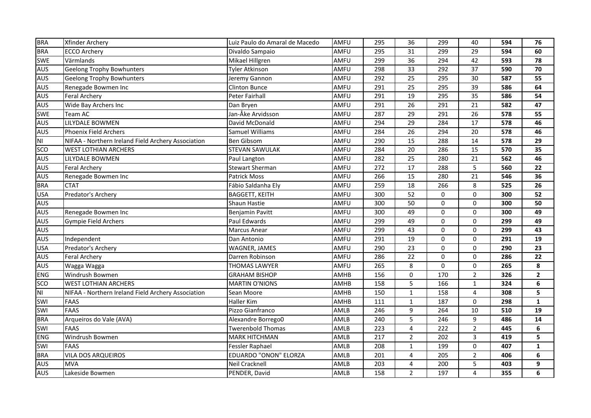| <b>BRA</b> | Xfinder Archery                                    | Luiz Paulo do Amaral de Macedo | AMFU | 295 | 36              | 299      | 40                      | 594 | 76             |
|------------|----------------------------------------------------|--------------------------------|------|-----|-----------------|----------|-------------------------|-----|----------------|
| <b>BRA</b> | <b>ECCO Archery</b>                                | Divaldo Sampaio                | AMFU | 295 | 31              | 299      | 29                      | 594 | 60             |
| SWE        | Värmlands                                          | Mikael Hillgren                | AMFU | 299 | 36              | 294      | 42                      | 593 | 78             |
| AUS        | <b>Geelong Trophy Bowhunters</b>                   | <b>Tyler Atkinson</b>          | AMFU | 298 | 33              | 292      | 37                      | 590 | 70             |
| <b>AUS</b> | <b>Geelong Trophy Bowhunters</b>                   | Jeremy Gannon                  | AMFU | 292 | $\overline{25}$ | 295      | $\overline{30}$         | 587 | 55             |
| <b>AUS</b> | Renegade Bowmen Inc                                | <b>Clinton Bunce</b>           | AMFU | 291 | $\overline{25}$ | 295      | $\overline{39}$         | 586 | 64             |
| <b>AUS</b> | <b>Feral Archery</b>                               | Peter Fairhall                 | AMFU | 291 | $\overline{19}$ | 295      | $\overline{35}$         | 586 | 54             |
| <b>AUS</b> | Wide Bay Archers Inc                               | Dan Bryen                      | AMFU | 291 | 26              | 291      | 21                      | 582 | 47             |
| <b>SWE</b> | Team AC                                            | Jan-Åke Arvidsson              | AMFU | 287 | 29              | 291      | 26                      | 578 | 55             |
| <b>AUS</b> | LILYDALE BOWMEN                                    | David McDonald                 | AMFU | 294 | 29              | 284      | 17                      | 578 | 46             |
| <b>AUS</b> | <b>Phoenix Field Archers</b>                       | <b>Samuel Williams</b>         | AMFU | 284 | 26              | 294      | 20                      | 578 | 46             |
| NI         | NIFAA - Northern Ireland Field Archery Association | <b>Ben Gibsom</b>              | AMFU | 290 | 15              | 288      | 14                      | 578 | 29             |
| SCO        | <b>WEST LOTHIAN ARCHERS</b>                        | <b>STEVAN SAWULAK</b>          | AMFU | 284 | 20              | 286      | 15                      | 570 | 35             |
| <b>AUS</b> | LILYDALE BOWMEN                                    | Paul Langton                   | AMFU | 282 | 25              | 280      | 21                      | 562 | 46             |
| <b>AUS</b> | <b>Feral Archery</b>                               | <b>Stewart Sherman</b>         | AMFU | 272 | 17              | 288      | 5                       | 560 | 22             |
| <b>AUS</b> | Renegade Bowmen Inc                                | <b>Patrick Moss</b>            | AMFU | 266 | 15              | 280      | 21                      | 546 | 36             |
| <b>BRA</b> | <b>CTAT</b>                                        | Fábio Saldanha Ely             | AMFU | 259 | 18              | 266      | 8                       | 525 | 26             |
| <b>USA</b> | Predator's Archery                                 | <b>BAGGETT, KEITH</b>          | AMFU | 300 | $\overline{52}$ | 0        | $\mathbf 0$             | 300 | 52             |
| <b>AUS</b> |                                                    | Shaun Hastie                   | AMFU | 300 | 50              | $\Omega$ | $\Omega$                | 300 | 50             |
| <b>AUS</b> | Renegade Bowmen Inc                                | <b>Benjamin Pavitt</b>         | AMFU | 300 | 49              | 0        | $\mathbf 0$             | 300 | 49             |
| <b>AUS</b> | <b>Gympie Field Archers</b>                        | Paul Edwards                   | AMFU | 299 | 49              | $\Omega$ | $\Omega$                | 299 | 49             |
| <b>AUS</b> |                                                    | <b>Marcus Anear</b>            | AMFU | 299 | 43              | 0        | 0                       | 299 | 43             |
| <b>AUS</b> | Independent                                        | Dan Antonio                    | AMFU | 291 | 19              | 0        | $\mathbf 0$             | 291 | 19             |
| <b>USA</b> | Predator's Archery                                 | WAGNER, JAMES                  | AMFU | 290 | 23              | $\Omega$ | 0                       | 290 | 23             |
| AUS        | <b>Feral Archery</b>                               | Darren Robinson                | AMFU | 286 | 22              | 0        | $\mathbf 0$             | 286 | 22             |
| <b>AUS</b> | Wagga Wagga                                        | THOMAS LAWYER                  | AMFU | 265 | 8               | 0        | $\mathbf 0$             | 265 | 8              |
| <b>ENG</b> | Windrush Bowmen                                    | <b>GRAHAM BISHOP</b>           | AMHB | 156 | 0               | 170      | $\overline{2}$          | 326 | $\overline{2}$ |
| <b>SCO</b> | <b>WEST LOTHIAN ARCHERS</b>                        | <b>MARTIN O'NIONS</b>          | AMHB | 158 | 5               | 166      | $\mathbf{1}$            | 324 | 6              |
| <b>NI</b>  | NIFAA - Northern Ireland Field Archery Association | Sean Moore                     | AMHB | 150 | $\mathbf{1}$    | 158      | $\overline{\mathbf{4}}$ | 308 | 5              |
| SWI        | <b>FAAS</b>                                        | <b>Haller Kim</b>              | AMHB | 111 | $\mathbf{1}$    | 187      | $\Omega$                | 298 | $\mathbf{1}$   |
| SWI        | <b>FAAS</b>                                        | Pizzo Gianfranco               | AMLB | 246 | 9               | 264      | 10                      | 510 | 19             |
| <b>BRA</b> | Arqueiros do Vale (AVA)                            | Alexandre Borrego0             | AMLB | 240 | 5               | 246      | 9                       | 486 | 14             |
| SWI        | <b>FAAS</b>                                        | <b>Twerenbold Thomas</b>       | AMLB | 223 | 4               | 222      | $\overline{2}$          | 445 | 6              |
| <b>ENG</b> | Windrush Bowmen                                    | <b>MARK HITCHMAN</b>           | AMLB | 217 | $\overline{2}$  | 202      | 3                       | 419 | 5              |
| SWI        | <b>FAAS</b>                                        | <b>Fessler Raphael</b>         | AMLB | 208 | $\mathbf{1}$    | 199      | 0                       | 407 | $\mathbf{1}$   |
| <b>BRA</b> | VILA DOS ARQUEIROS                                 | <b>EDUARDO "ONON" ELORZA</b>   | AMLB | 201 | 4               | 205      | $\overline{2}$          | 406 | 6              |
| <b>AUS</b> | <b>MVA</b>                                         | Neil Cracknell                 | AMLB | 203 | 4               | 200      | 5                       | 403 | 9              |
| <b>AUS</b> | Lakeside Bowmen                                    | PENDER, David                  | AMLB | 158 | $\overline{2}$  | 197      | 4                       | 355 | 6              |
|            |                                                    |                                |      |     |                 |          |                         |     |                |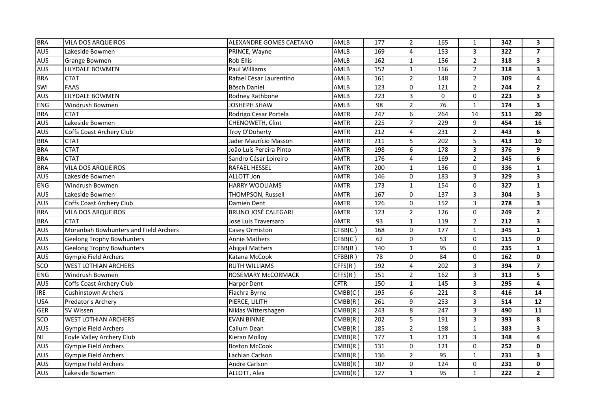| <b>BRA</b> | <b>VILA DOS ARQUEIROS</b>             | ALEXANDRE GOMES CAETANO    |             |     |                     |     |                |     |                         |
|------------|---------------------------------------|----------------------------|-------------|-----|---------------------|-----|----------------|-----|-------------------------|
|            |                                       |                            | AMLB        | 177 | $\overline{2}$      | 165 | $\mathbf{1}$   | 342 | 3                       |
| <b>AUS</b> | Lakeside Bowmen                       | PRINCE, Wayne              | AMLB        | 169 | 4                   | 153 | 3              | 322 | $\overline{\mathbf{z}}$ |
| <b>AUS</b> | <b>Grange Bowmen</b>                  | <b>Rob Ellis</b>           | AMLB        | 162 | $\mathbf{1}$        | 156 | $\overline{2}$ | 318 | $\overline{\mathbf{3}}$ |
| AUS        | LILYDALE BOWMEN                       | Paul Williams              | AMLB        | 152 | $\mathbf{1}$        | 166 | $\overline{2}$ | 318 | 3                       |
| <b>BRA</b> | <b>CTAT</b>                           | Rafael César Laurentino    | AMLB        | 161 | $\overline{2}$      | 148 | $\overline{2}$ | 309 | 4                       |
| SWI        | <b>FAAS</b>                           | <b>Bösch Daniel</b>        | AMLB        | 123 | 0                   | 121 | $\overline{2}$ | 244 | $\mathbf{2}$            |
| <b>AUS</b> | LILYDALE BOWMEN                       | Rodney Rathbone            | AMLB        | 223 | $\overline{3}$      | 0   | 0              | 223 | 3                       |
| <b>ENG</b> | Windrush Bowmen                       | <b>JOSHEPH SHAW</b>        | AMLB        | 98  | $\overline{2}$      | 76  | $\mathbf{1}$   | 174 | 3                       |
| <b>BRA</b> | <b>CTAT</b>                           | Rodrigo Cesar Portela      | <b>AMTR</b> | 247 | 6                   | 264 | 14             | 511 | 20                      |
| <b>AUS</b> | Lakeside Bowmen                       | CHENOWETH, Clint           | <b>AMTR</b> | 225 | $\overline{7}$      | 229 | 9              | 454 | 16                      |
| <b>AUS</b> | Coffs Coast Archery Club              | Troy O'Doherty             | <b>AMTR</b> | 212 | 4                   | 231 | $\overline{2}$ | 443 | 6                       |
| <b>BRA</b> | <b>CTAT</b>                           | Jader Maurício Masson      | <b>AMTR</b> | 211 | 5                   | 202 | 5              | 413 | 10                      |
| <b>BRA</b> | <b>CTAT</b>                           | João Luís Pereira Pinto    | <b>AMTR</b> | 198 | 6                   | 178 | $\overline{3}$ | 376 | 9                       |
| <b>BRA</b> | <b>CTAT</b>                           | Sandro César Loireiro      | <b>AMTR</b> | 176 | 4                   | 169 | $\overline{2}$ | 345 | 6                       |
| <b>BRA</b> | <b>VILA DOS ARQUEIROS</b>             | <b>RAFAEL HESSEL</b>       | <b>AMTR</b> | 200 | $\mathbf{1}$        | 136 | 0              | 336 | $\mathbf{1}$            |
| <b>AUS</b> | Lakeside Bowmen                       | <b>ALLOTT Jon</b>          | <b>AMTR</b> | 146 | $\mathsf{O}$        | 183 | 3              | 329 | 3                       |
| <b>ENG</b> | Windrush Bowmen                       | <b>HARRY WOOLIAMS</b>      | <b>AMTR</b> | 173 | $\mathbf{1}$        | 154 | $\Omega$       | 327 | $\mathbf{1}$            |
| <b>AUS</b> | Lakeside Bowmen                       | THOMPSON, Russell          | <b>AMTR</b> | 167 | $\mathsf{O}\xspace$ | 137 | 3              | 304 | 3                       |
| <b>AUS</b> | Coffs Coast Archery Club              | Damien Dent                | <b>AMTR</b> | 126 | 0                   | 152 | 3              | 278 | 3                       |
| <b>BRA</b> | <b>VILA DOS ARQUEIROS</b>             | <b>BRUNO JOSÉ CALEGARI</b> | <b>AMTR</b> | 123 | $\overline{2}$      | 126 | $\mathbf 0$    | 249 | $\mathbf{2}$            |
| <b>BRA</b> | <b>CTAT</b>                           | José Luis Traversaro       | <b>AMTR</b> | 93  | $\mathbf{1}$        | 119 | $\overline{2}$ | 212 | 3                       |
| <b>AUS</b> | Moranbah Bowhunters and Field Archers | <b>Casey Ormiston</b>      | CFBB(C)     | 168 | 0                   | 177 | $\mathbf{1}$   | 345 | $\mathbf{1}$            |
| <b>AUS</b> | <b>Geelong Trophy Bowhunters</b>      | <b>Annie Mathers</b>       | CFBB(C)     | 62  | 0                   | 53  | $\mathbf 0$    | 115 | $\mathbf 0$             |
| <b>AUS</b> | <b>Geelong Trophy Bowhunters</b>      | <b>Abigail Mathers</b>     | CFBB(R)     | 140 | $\mathbf{1}$        | 95  | 0              | 235 | $\mathbf{1}$            |
| <b>AUS</b> | <b>Gympie Field Archers</b>           | Katana McCook              | CFBB(R)     | 78  | $\mathsf{O}\xspace$ | 84  | $\mathbf 0$    | 162 | $\mathbf 0$             |
| SCO        | <b>WEST LOTHIAN ARCHERS</b>           | <b>RUTH WILLIAMS</b>       | CFFS(R)     | 192 | 4                   | 202 | 3              | 394 | $\overline{7}$          |
| <b>ENG</b> | Windrush Bowmen                       | ROSEMARY McCORMACK         | CFFS(R)     | 151 | $\overline{2}$      | 162 | 3              | 313 | 5                       |
| AUS        | Coffs Coast Archery Club              | <b>Harper Dent</b>         | <b>CFTR</b> | 150 | $\mathbf{1}$        | 145 | 3              | 295 | 4                       |
| <b>IRE</b> | <b>Cushinstown Archers</b>            | Fiachra Byrne              | CMBB(C)     | 195 | $\boldsymbol{6}$    | 221 | 8              | 416 | 14                      |
| <b>USA</b> | Predator's Archery                    | PIERCE, LILITH             | CMBB(R)     | 261 | 9                   | 253 | 3              | 514 | 12                      |
| <b>GER</b> | SV Wissen                             | Niklas Wittershagen        | CMBB(R)     | 243 | 8                   | 247 | 3              | 490 | 11                      |
| sco        | <b>WEST LOTHIAN ARCHERS</b>           | <b>EVAN BINNIE</b>         | CMBB(R)     | 202 | 5                   | 191 | 3              | 393 | 8                       |
| <b>AUS</b> | <b>Gympie Field Archers</b>           | Callum Dean                | CMBB(R)     | 185 | $\overline{2}$      | 198 | $\mathbf{1}$   | 383 | 3                       |
| <b>NI</b>  | Foyle Valley Archery Club             | Kieran Molloy              | CMBB(R)     | 177 | $\mathbf{1}$        | 171 | 3              | 348 | 4                       |
| <b>AUS</b> | Gympie Field Archers                  | <b>Boston McCook</b>       | CMBB(R)     | 131 | 0                   | 121 | 0              | 252 | 0                       |
| <b>AUS</b> | <b>Gympie Field Archers</b>           | Lachlan Carlson            | CMBB(R)     | 136 | $\overline{2}$      | 95  | $\mathbf 1$    | 231 | 3                       |
| <b>AUS</b> | Gympie Field Archers                  | Andre Carlson              | CMBB(R)     | 107 | 0                   | 124 | 0              | 231 | 0                       |
| <b>AUS</b> | Lakeside Bowmen                       | ALLOTT, Alex               | CMBB(R)     | 127 | $\mathbf{1}$        | 95  | $\mathbf 1$    | 222 | $\mathbf{2}$            |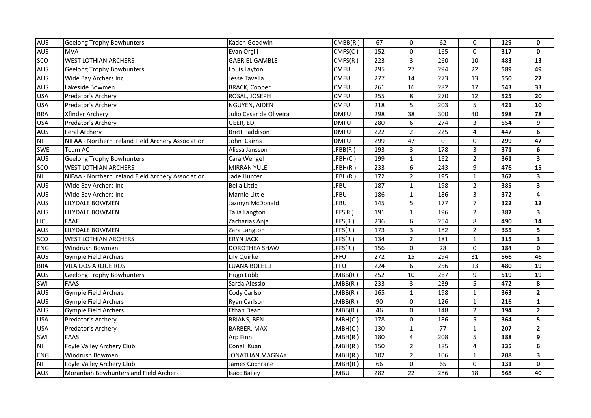| <b>AUS</b>     | <b>Geelong Trophy Bowhunters</b>                   | Kaden Goodwin           | CMBB(R)     | 67               | 0                   | 62               | $\mathbf 0$     | 129 | 0               |
|----------------|----------------------------------------------------|-------------------------|-------------|------------------|---------------------|------------------|-----------------|-----|-----------------|
| <b>AUS</b>     | <b>MVA</b>                                         | Evan Orgill             | CMFS(C)     | 152              | 0                   | 165              | $\Omega$        | 317 | $\mathbf 0$     |
| sco            | <b>WEST LOTHIAN ARCHERS</b>                        | <b>GABRIEL GAMBLE</b>   | CMFS(R)     | 223              | $\overline{3}$      | 260              | 10              | 483 | 13              |
| <b>AUS</b>     | <b>Geelong Trophy Bowhunters</b>                   | Louis Layton            | <b>CMFU</b> | 295              | 27                  | 294              | 22              | 589 | 49              |
| <b>AUS</b>     | Wide Bay Archers Inc                               | Jesse Tavella           | <b>CMFU</b> | $\overline{277}$ | $\overline{14}$     | $\overline{273}$ | $\overline{13}$ | 550 | $\overline{27}$ |
| <b>AUS</b>     | Lakeside Bowmen                                    | <b>BRACK, Cooper</b>    | <b>CMFU</b> | $\overline{261}$ | $\overline{16}$     | 282              | $\overline{17}$ | 543 | 33              |
| <b>USA</b>     | Predator's Archery                                 | ROSAL, JOSEPH           | <b>CMFU</b> | 255              | 8                   | 270              | 12              | 525 | 20              |
| <b>USA</b>     | Predator's Archery                                 | NGUYEN, AIDEN           | <b>CMFU</b> | 218              | 5                   | 203              | 5               | 421 | 10              |
| <b>BRA</b>     | Xfinder Archery                                    | Julio Cesar de Oliveira | <b>DMFU</b> | 298              | 38                  | 300              | 40              | 598 | 78              |
| <b>USA</b>     | Predator's Archery                                 | GEER, ED                | <b>DMFU</b> | 280              | 6                   | 274              | $\overline{3}$  | 554 | 9               |
| <b>AUS</b>     | <b>Feral Archery</b>                               | <b>Brett Paddison</b>   | <b>DMFU</b> | 222              | $\overline{2}$      | 225              | 4               | 447 | 6               |
| NI             | NIFAA - Northern Ireland Field Archery Association | John Cairns             | <b>DMFU</b> | 299              | 47                  | 0                | $\mathbf 0$     | 299 | 47              |
| SWE            | Team AC                                            | Alissa Jansson          | JFBB(R)     | 193              | 3                   | 178              | $\mathsf{3}$    | 371 | 6               |
| <b>AUS</b>     | <b>Geelong Trophy Bowhunters</b>                   | Cara Wengel             | JFBH(C)     | 199              | $\mathbf{1}$        | 162              | $\overline{2}$  | 361 | 3               |
| SCO            | <b>WEST LOTHIAN ARCHERS</b>                        | <b>MIRRAN YULE</b>      | JFBH(R)     | 233              | 6                   | 243              | 9               | 476 | 15              |
| <b>NI</b>      | NIFAA - Northern Ireland Field Archery Association | Jade Hunter             | JFBH(R)     | 172              | $\overline{2}$      | 195              | $\mathbf{1}$    | 367 | 3               |
| <b>AUS</b>     | Wide Bay Archers Inc                               | <b>Bella Little</b>     | <b>JFBU</b> | 187              | $\mathbf{1}$        | 198              | $\overline{2}$  | 385 | 3               |
| <b>AUS</b>     | Wide Bay Archers Inc                               | Marnie Little           | <b>JFBU</b> | 186              | $\mathbf{1}$        | 186              | 3               | 372 | 4               |
| <b>AUS</b>     | LILYDALE BOWMEN                                    | Jazmyn McDonald         | <b>JFBU</b> | 145              | 5                   | 177              | $\overline{7}$  | 322 | 12              |
| AUS            | LILYDALE BOWMEN                                    | Talia Langton           | JFFSR)      | 191              | $\mathbf{1}$        | 196              | $\overline{2}$  | 387 | 3               |
| $\overline{L}$ | <b>FAAFL</b>                                       | Zacharias Anja          | JFFS(R)     | 236              | 6                   | 254              | 8               | 490 | 14              |
| <b>AUS</b>     | LILYDALE BOWMEN                                    | Zara Langton            | JFFS(R)     | 173              | 3                   | 182              | $\overline{2}$  | 355 | 5               |
| <b>SCO</b>     | <b>WEST LOTHIAN ARCHERS</b>                        | <b>ERYN JACK</b>        | JFFS(R)     | 134              | $\overline{2}$      | 181              | $\mathbf{1}$    | 315 | 3               |
| <b>ENG</b>     | Windrush Bowmen                                    | <b>DOROTHEA SHAW</b>    | JFFS(R)     | 156              | $\mathsf{O}\xspace$ | 28               | $\mathbf 0$     | 184 | $\mathbf 0$     |
| <b>AUS</b>     | Gympie Field Archers                               | Lily Quirke             | <b>JFFU</b> | 272              | 15                  | 294              | 31              | 566 | 46              |
| <b>BRA</b>     | VILA DOS ARQUEIROS                                 | LUANA BOLELLI           | <b>JFFU</b> | 224              | $\boldsymbol{6}$    | 256              | 13              | 480 | 19              |
| AUS            | <b>Geelong Trophy Bowhunters</b>                   | Hugo Lobb               | JMBB(R)     | 252              | 10                  | 267              | 9               | 519 | 19              |
| SWI            | <b>FAAS</b>                                        | Sarda Alessio           | JMBB(R)     | 233              | 3                   | 239              | 5               | 472 | 8               |
| AUS            | Gympie Field Archers                               | Cody Carlson            | JMBB(R)     | 165              | $\mathbf{1}$        | 198              | $\mathbf{1}$    | 363 | $\mathbf{2}$    |
| <b>AUS</b>     | Gympie Field Archers                               | Ryan Carlson            | JMBB(R)     | 90               | 0                   | 126              | $\mathbf{1}$    | 216 | $\mathbf{1}$    |
| <b>AUS</b>     | <b>Gympie Field Archers</b>                        | <b>Ethan Dean</b>       | JMBB(R)     | 46               | $\pmb{0}$           | 148              | $\overline{2}$  | 194 | $\mathbf{2}$    |
| <b>USA</b>     | Predator's Archery                                 | <b>BRIANS, BEN</b>      | JMBH(C)     | 178              | 0                   | 186              | 5               | 364 | 5               |
| <b>USA</b>     | Predator's Archery                                 | BARBER, MAX             | JMBH(C)     | 130              | $\mathbf{1}$        | 77               | $\mathbf 1$     | 207 | $\overline{2}$  |
| SWI            | <b>FAAS</b>                                        | Arp Finn                | JMBH(R)     | 180              | 4                   | 208              | 5               | 388 | 9               |
| <b>NI</b>      | Foyle Valley Archery Club                          | Conall Kuan             | JMBH(R)     | 150              | $\overline{2}$      | 185              | 4               | 335 | 6               |
| <b>ENG</b>     | Windrush Bowmen                                    | JONATHAN MAGNAY         | JMBH(R)     | 102              | $\overline{2}$      | 106              | $\mathbf{1}$    | 208 | 3               |
| <b>NI</b>      | Foyle Valley Archery Club                          | James Cochrane          | JMBH(R)     | 66               | 0                   | 65               | 0               | 131 | 0               |
| <b>AUS</b>     | Moranbah Bowhunters and Field Archers              | <b>Isacc Bailey</b>     | <b>JMBU</b> | 282              | $\overline{22}$     | 286              | 18              | 568 | 40              |
|                |                                                    |                         |             |                  |                     |                  |                 |     |                 |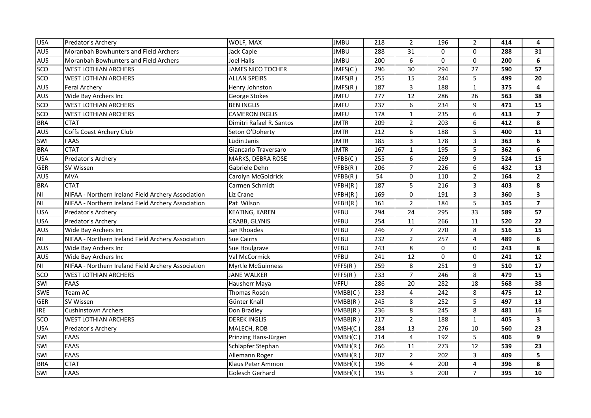| <b>USA</b>     | Predator's Archery                                 | WOLF, MAX                | <b>JMBU</b> | 218              | $\overline{2}$  | 196      | 2               | 414 | 4                       |
|----------------|----------------------------------------------------|--------------------------|-------------|------------------|-----------------|----------|-----------------|-----|-------------------------|
| AUS            | Moranbah Bowhunters and Field Archers              | Jack Caple               | <b>JMBU</b> | 288              | 31              | $\Omega$ | $\mathbf{0}$    | 288 | 31                      |
| <b>AUS</b>     | Moranbah Bowhunters and Field Archers              | Joel Halls               | <b>JMBU</b> | 200              | 6               | $\Omega$ | $\mathbf 0$     | 200 | 6                       |
| SCO            | <b>WEST LOTHIAN ARCHERS</b>                        | JAMES NICO TOCHER        | JMFS(C)     | 296              | 30              | 294      | 27              | 590 | 57                      |
| SCO            | <b>WEST LOTHIAN ARCHERS</b>                        | <b>ALLAN SPEIRS</b>      | JMFS(R)     | 255              | 15              | 244      | 5               | 499 | 20                      |
| <b>AUS</b>     | <b>Feral Archery</b>                               | Henry Johnston           | JMFS(R)     | 187              | 3               | 188      | $\mathbf{1}$    | 375 | 4                       |
| <b>AUS</b>     | Wide Bay Archers Inc                               | George Stokes            | <b>JMFU</b> | $\overline{277}$ | $\overline{12}$ | 286      | $\overline{26}$ | 563 | 38                      |
| sco            | <b>WEST LOTHIAN ARCHERS</b>                        | <b>BEN INGLIS</b>        | <b>JMFU</b> | 237              | 6               | 234      | 9               | 471 | 15                      |
| <b>SCO</b>     | <b>WEST LOTHIAN ARCHERS</b>                        | <b>CAMERON INGLIS</b>    | <b>JMFU</b> | 178              | $\mathbf{1}$    | 235      | 6               | 413 | $\overline{\mathbf{z}}$ |
| <b>BRA</b>     | <b>CTAT</b>                                        | Dimitri Rafael R. Santos | <b>JMTR</b> | 209              | $\overline{2}$  | 203      | 6               | 412 | 8                       |
| <b>AUS</b>     | Coffs Coast Archery Club                           | Seton O'Doherty          | JMTR        | 212              | 6               | 188      | 5               | 400 | ${\bf 11}$              |
| SWI            | <b>FAAS</b>                                        | Lüdin Janis              | <b>JMTR</b> | 185              | 3               | 178      | 3               | 363 | 6                       |
| <b>BRA</b>     | <b>CTAT</b>                                        | Giancarlo Traversaro     | <b>JMTR</b> | 167              | $\mathbf{1}$    | 195      | 5               | 362 | 6                       |
| <b>USA</b>     | Predator's Archery                                 | MARKS, DEBRA ROSE        | VFBB(C)     | 255              | 6               | 269      | 9               | 524 | 15                      |
| <b>GER</b>     | SV Wissen                                          | Gabriele Dehn            | VFBB(R)     | 206              | $\overline{7}$  | 226      | 6               | 432 | 13                      |
| <b>AUS</b>     | <b>MVA</b>                                         | Carolyn McGoldrick       | VFBB(R)     | 54               | $\mathsf{O}$    | 110      | $\overline{2}$  | 164 | $\mathbf{2}$            |
| <b>BRA</b>     | <b>CTAT</b>                                        | Carmen Schmidt           | VFBH(R)     | 187              | 5               | 216      | 3               | 403 | 8                       |
| N <sub>l</sub> | NIFAA - Northern Ireland Field Archery Association | Liz Crane                | VFBH(R)     | 169              | $\pmb{0}$       | 191      | 3               | 360 | 3                       |
| N <sub>l</sub> | NIFAA - Northern Ireland Field Archery Association | Pat Wilson               | VFBH(R)     | 161              | $\overline{2}$  | 184      | 5               | 345 | $\overline{\mathbf{z}}$ |
| <b>USA</b>     | Predator's Archery                                 | <b>KEATING, KAREN</b>    | <b>VFBU</b> | 294              | 24              | 295      | 33              | 589 | 57                      |
| <b>USA</b>     | Predator's Archery                                 | CRABB, GLYNIS            | VFBU        | 254              | 11              | 266      | 11              | 520 | 22                      |
| <b>AUS</b>     | Wide Bay Archers Inc                               | Jan Rhoades              | <b>VFBU</b> | 246              | $\overline{7}$  | 270      | 8               | 516 | 15                      |
| <b>NI</b>      | NIFAA - Northern Ireland Field Archery Association | <b>Sue Cairns</b>        | <b>VFBU</b> | 232              | $\overline{2}$  | 257      | 4               | 489 | 6                       |
| AUS            | Wide Bay Archers Inc                               | Sue Houlgrave            | <b>VFBU</b> | 243              | 8               | $\Omega$ | $\Omega$        | 243 | 8                       |
| <b>AUS</b>     | Wide Bay Archers Inc                               | Val McCormick            | <b>VFBU</b> | 241              | 12              | 0        | $\mathbf 0$     | 241 | 12                      |
| N <sub>l</sub> | NIFAA - Northern Ireland Field Archery Association | <b>Myrtle McGuinness</b> | VFFS(R)     | 259              | 8               | 251      | 9               | 510 | 17                      |
| <b>SCO</b>     | <b>WEST LOTHIAN ARCHERS</b>                        | <b>JANE WALKER</b>       | VFFS(R)     | 233              | $\overline{7}$  | 246      | 8               | 479 | 15                      |
| SWI            | <b>FAAS</b>                                        | Hausherr Maya            | <b>VFFU</b> | 286              | 20              | 282      | 18              | 568 | 38                      |
| SWE            | Team AC                                            | Thomas Rosén             | VMBB(C)     | 233              | 4               | 242      | 8               | 475 | 12                      |
| <b>GER</b>     | SV Wissen                                          | Günter Knall             | VMBB(R)     | 245              | 8               | 252      | 5               | 497 | 13                      |
| <b>IRE</b>     | <b>Cushinstown Archers</b>                         | Don Bradley              | VMBB(R)     | 236              | 8               | 245      | 8               | 481 | 16                      |
| <b>SCO</b>     | <b>WEST LOTHIAN ARCHERS</b>                        | <b>DEREK INGLIS</b>      | VMBB(R)     | 217              | $\overline{2}$  | 188      | $\mathbf{1}$    | 405 | 3                       |
| <b>USA</b>     | Predator's Archery                                 | MALECH, ROB              | VMBH(C)     | 284              | 13              | 276      | 10              | 560 | 23                      |
| SWI            | <b>FAAS</b>                                        | Prinzing Hans-Jürgen     | VMBH(C)     | 214              | 4               | 192      | 5               | 406 | 9                       |
| SWI            | <b>FAAS</b>                                        | Schläpfer Stephan        | VMBH(R)     | 266              | 11              | 273      | 12              | 539 | 23                      |
| SWI            | <b>FAAS</b>                                        | Allemann Roger           | VMBH(R)     | 207              | $\overline{2}$  | 202      | $\overline{3}$  | 409 | 5                       |
| <b>BRA</b>     | <b>CTAT</b>                                        | Klaus Peter Ammon        | VMBH(R)     | 196              | 4               | 200      | 4               | 396 | 8                       |
| SWI            | <b>FAAS</b>                                        | Golesch Gerhard          | VMBH(R)     | 195              | $\overline{3}$  | 200      | $\overline{7}$  | 395 | 10                      |
|                |                                                    |                          |             |                  |                 |          |                 |     |                         |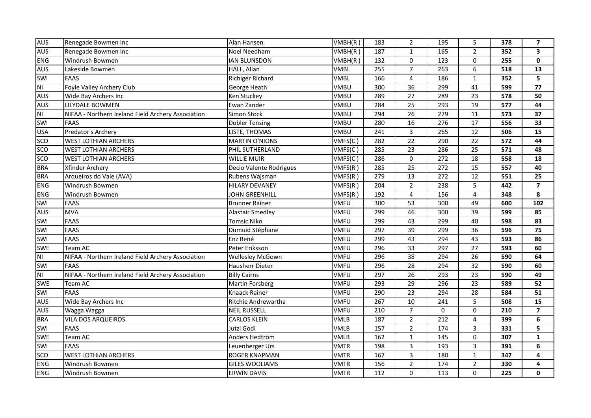| <b>AUS</b>              | Renegade Bowmen Inc                                | Alan Hansen             | VMBH(R)     | 183              | $\overline{2}$  | 195              | 5              | 378 | $\overline{7}$          |
|-------------------------|----------------------------------------------------|-------------------------|-------------|------------------|-----------------|------------------|----------------|-----|-------------------------|
| <b>AUS</b>              | Renegade Bowmen Inc                                | Noel Needham            | VMBH(R)     | 187              | $\mathbf{1}$    | 165              | $\overline{2}$ | 352 | 3                       |
| <b>ENG</b>              | Windrush Bowmen                                    | <b>IAN BLUNSDON</b>     | VMBH(R)     | 132              | 0               | 123              | 0              | 255 | $\mathbf 0$             |
| AUS                     | Lakeside Bowmen                                    | HALL, Allan             | <b>VMBL</b> | 255              | $\overline{7}$  | 263              | 6              | 518 | 13                      |
| SWI                     | <b>FAAS</b>                                        | Richiger Richard        | <b>VMBL</b> | 166              | $\overline{4}$  | 186              | $\mathbf{1}$   | 352 | 5                       |
| $\overline{\mathsf{M}}$ | Foyle Valley Archery Club                          | George Heath            | VMBU        | 300              | $\overline{36}$ | 299              | 41             | 599 | $\overline{77}$         |
| <b>AUS</b>              | Wide Bay Archers Inc                               | Ken Stuckey             | VMBU        | 289              | 27              | 289              | 23             | 578 | 50                      |
| <b>AUS</b>              | LILYDALE BOWMEN                                    | Ewan Zander             | VMBU        | 284              | 25              | 293              | 19             | 577 | 44                      |
| N <sub>1</sub>          | NIFAA - Northern Ireland Field Archery Association | Simon Stock             | <b>VMBU</b> | 294              | 26              | 279              | 11             | 573 | 37                      |
| SWI                     | <b>FAAS</b>                                        | <b>Dobler Tensing</b>   | <b>VMBU</b> | 280              | 16              | 276              | 17             | 556 | 33                      |
| <b>USA</b>              | Predator's Archery                                 | LISTE, THOMAS           | <b>VMBU</b> | 241              | 3               | 265              | 12             | 506 | 15                      |
| SCO                     | <b>WEST LOTHIAN ARCHERS</b>                        | <b>MARTIN O'NIONS</b>   | VMFS(C)     | 282              | 22              | 290              | 22             | 572 | 44                      |
| SCO                     | <b>WEST LOTHIAN ARCHERS</b>                        | PHIL SUTHERLAND         | VMFS(C)     | 285              | 23              | 286              | 25             | 571 | 48                      |
| <b>SCO</b>              | <b>WEST LOTHIAN ARCHERS</b>                        | <b>WILLIE MUIR</b>      | VMFS(C)     | 286              | 0               | 272              | 18             | 558 | 18                      |
| <b>BRA</b>              | Xfinder Archery                                    | Decio Valente Rodrigues | VMFS(R)     | 285              | 25              | 272              | 15             | 557 | 40                      |
| <b>BRA</b>              | Arqueiros do Vale (AVA)                            | Rubens Wajsman          | VMFS(R)     | 279              | 13              | 272              | 12             | 551 | 25                      |
| <b>ENG</b>              | Windrush Bowmen                                    | <b>HILARY DEVANEY</b>   | VMFS(R)     | 204              | $\overline{2}$  | 238              | 5              | 442 | $\overline{\mathbf{z}}$ |
| <b>ENG</b>              | Windrush Bowmen                                    | JOHN GREENHILL          | VMFS(R)     | 192              | 4               | 156              | 4              | 348 | 8                       |
| SWI                     | <b>FAAS</b>                                        | <b>Brunner Rainer</b>   | VMFU        | 300              | 53              | $\overline{300}$ | 49             | 600 | 102                     |
| <b>AUS</b>              | <b>MVA</b>                                         | Alastair Smedley        | VMFU        | 299              | 46              | 300              | 39             | 599 | 85                      |
| SWI                     | <b>FAAS</b>                                        | <b>Tomsic Niko</b>      | VMFU        | 299              | 43              | 299              | 40             | 598 | 83                      |
| SWI                     | <b>FAAS</b>                                        | Dumuid Stéphane         | VMFU        | 297              | 39              | 299              | 36             | 596 | 75                      |
| SWI                     | <b>FAAS</b>                                        | Enz René                | VMFU        | 299              | 43              | 294              | 43             | 593 | 86                      |
| <b>SWE</b>              | Team AC                                            | Peter Eriksson          | VMFU        | 296              | 33              | 297              | 27             | 593 | 60                      |
| NI                      | NIFAA - Northern Ireland Field Archery Association | <b>Wellesley McGown</b> | VMFU        | 296              | 38              | 294              | 26             | 590 | 64                      |
| SWI                     | <b>FAAS</b>                                        | Hausherr Dieter         | VMFU        | 296              | 28              | 294              | 32             | 590 | 60                      |
| N <sub>1</sub>          | NIFAA - Northern Ireland Field Archery Association | <b>Billy Cairns</b>     | VMFU        | 297              | 26              | 293              | 23             | 590 | 49                      |
| <b>SWE</b>              | Team AC                                            | <b>Martin Forsberg</b>  | VMFU        | 293              | 29              | 296              | 23             | 589 | 52                      |
| SWI                     | <b>FAAS</b>                                        | Knaack Rainer           | VMFU        | 290              | 23              | 294              | 28             | 584 | 51                      |
| <b>AUS</b>              | Wide Bay Archers Inc                               | Ritchie Andrewartha     | VMFU        | $\overline{267}$ | 10              | 241              | 5              | 508 | $\overline{15}$         |
| <b>AUS</b>              | Wagga Wagga                                        | <b>NEIL RUSSELL</b>     | VMFU        | 210              | $\overline{7}$  | 0                | 0              | 210 | $\overline{\mathbf{z}}$ |
| <b>BRA</b>              | <b>VILA DOS ARQUEIROS</b>                          | <b>CARLOS KLEIN</b>     | <b>VMLB</b> | 187              | $\overline{2}$  | 212              | 4              | 399 | 6                       |
| SWI                     | <b>FAAS</b>                                        | Jutzi Godi              | <b>VMLB</b> | 157              | $\overline{2}$  | 174              | 3              | 331 | 5                       |
| <b>SWE</b>              | Team AC                                            | Anders Hedtröm          | <b>VMLB</b> | 162              | $\mathbf{1}$    | 145              | 0              | 307 | $\mathbf{1}$            |
| SWI                     | <b>FAAS</b>                                        | Leuenberger Urs         | <b>VMTR</b> | 198              | 3               | 193              | 3              | 391 | 6                       |
| SCO                     | <b>WEST LOTHIAN ARCHERS</b>                        | ROGER KNAPMAN           | <b>VMTR</b> | 167              | 3               | 180              | $\mathbf{1}$   | 347 | 4                       |
| <b>ENG</b>              | Windrush Bowmen                                    | <b>GILES WOOLIAMS</b>   | <b>VMTR</b> | 156              | $\overline{2}$  | 174              | $\overline{2}$ | 330 | 4                       |
| <b>ENG</b>              | Windrush Bowmen                                    | <b>ERWIN DAVIS</b>      | <b>VMTR</b> | 112              | $\mathsf{O}$    | 113              | $\Omega$       | 225 | $\mathbf{0}$            |
|                         |                                                    |                         |             |                  |                 |                  |                |     |                         |